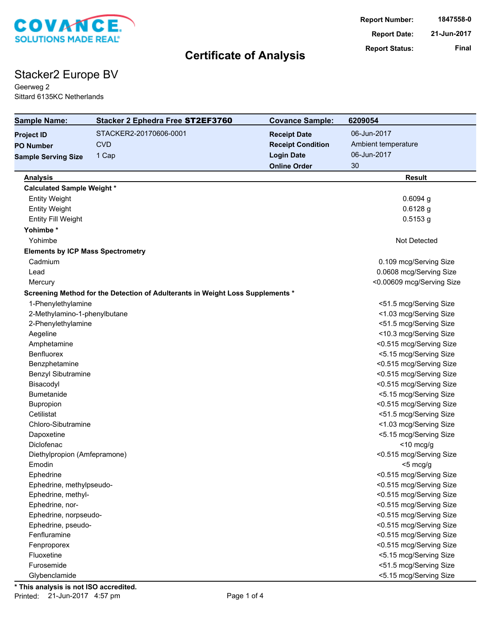

# Stacker2 Europe BV

Geerweg 2 Sittard 6135KC Netherlands

| <b>Sample Name:</b>                      | Stacker 2 Ephedra Free ST2EF3760                                               | <b>Covance Sample:</b>   | 6209054                   |
|------------------------------------------|--------------------------------------------------------------------------------|--------------------------|---------------------------|
| <b>Project ID</b>                        | STACKER2-20170606-0001                                                         | <b>Receipt Date</b>      | 06-Jun-2017               |
| <b>PO Number</b>                         | <b>CVD</b>                                                                     | <b>Receipt Condition</b> | Ambient temperature       |
| <b>Sample Serving Size</b>               | 1 Cap                                                                          | <b>Login Date</b>        | 06-Jun-2017               |
|                                          |                                                                                | <b>Online Order</b>      | 30                        |
| <b>Analysis</b>                          |                                                                                |                          | <b>Result</b>             |
| <b>Calculated Sample Weight *</b>        |                                                                                |                          |                           |
| <b>Entity Weight</b>                     |                                                                                |                          | $0.6094$ g                |
| <b>Entity Weight</b>                     |                                                                                |                          | $0.6128$ g                |
| <b>Entity Fill Weight</b>                |                                                                                |                          | $0.5153$ g                |
| Yohimbe*                                 |                                                                                |                          |                           |
| Yohimbe                                  |                                                                                |                          | Not Detected              |
| <b>Elements by ICP Mass Spectrometry</b> |                                                                                |                          |                           |
| Cadmium                                  |                                                                                |                          | 0.109 mcg/Serving Size    |
| Lead                                     |                                                                                |                          | 0.0608 mcg/Serving Size   |
| Mercury                                  |                                                                                |                          | <0.00609 mcg/Serving Size |
|                                          | Screening Method for the Detection of Adulterants in Weight Loss Supplements * |                          |                           |
| 1-Phenylethylamine                       |                                                                                |                          | <51.5 mcg/Serving Size    |
| 2-Methylamino-1-phenylbutane             |                                                                                |                          | <1.03 mcg/Serving Size    |
| 2-Phenylethylamine                       |                                                                                |                          | <51.5 mcg/Serving Size    |
| Aegeline                                 |                                                                                |                          | <10.3 mcg/Serving Size    |
| Amphetamine                              |                                                                                |                          | <0.515 mcg/Serving Size   |
| <b>Benfluorex</b>                        |                                                                                |                          | <5.15 mcg/Serving Size    |
| Benzphetamine                            |                                                                                |                          | <0.515 mcg/Serving Size   |
| <b>Benzyl Sibutramine</b>                |                                                                                |                          | <0.515 mcg/Serving Size   |
| Bisacodyl                                |                                                                                |                          | <0.515 mcg/Serving Size   |
| Bumetanide                               |                                                                                |                          | <5.15 mcg/Serving Size    |
| Bupropion                                |                                                                                |                          | <0.515 mcg/Serving Size   |
| Cetilistat                               |                                                                                |                          | <51.5 mcg/Serving Size    |
| Chloro-Sibutramine                       |                                                                                |                          | <1.03 mcg/Serving Size    |
| Dapoxetine                               |                                                                                |                          | <5.15 mcg/Serving Size    |
| Diclofenac                               |                                                                                |                          | $<$ 10 mcg/g              |
| Diethylpropion (Amfepramone)             |                                                                                |                          | <0.515 mcg/Serving Size   |
| Emodin                                   |                                                                                |                          | <5 mcg/g                  |
| Ephedrine                                |                                                                                |                          | <0.515 mcg/Serving Size   |
| Ephedrine, methylpseudo-                 |                                                                                |                          | <0.515 mcg/Serving Size   |
| Ephedrine, methyl-                       |                                                                                |                          | <0.515 mcg/Serving Size   |
| Ephedrine, nor-                          |                                                                                |                          | <0.515 mcg/Serving Size   |
| Ephedrine, norpseudo-                    |                                                                                |                          | <0.515 mcg/Serving Size   |
| Ephedrine, pseudo-                       |                                                                                |                          | <0.515 mcg/Serving Size   |
| Fenfluramine                             |                                                                                |                          | <0.515 mcg/Serving Size   |
| Fenproporex                              |                                                                                |                          | <0.515 mcg/Serving Size   |
| Fluoxetine                               |                                                                                |                          | <5.15 mcg/Serving Size    |
| Furosemide                               |                                                                                |                          | <51.5 mcg/Serving Size    |
| Glybenclamide                            |                                                                                |                          | <5.15 mcg/Serving Size    |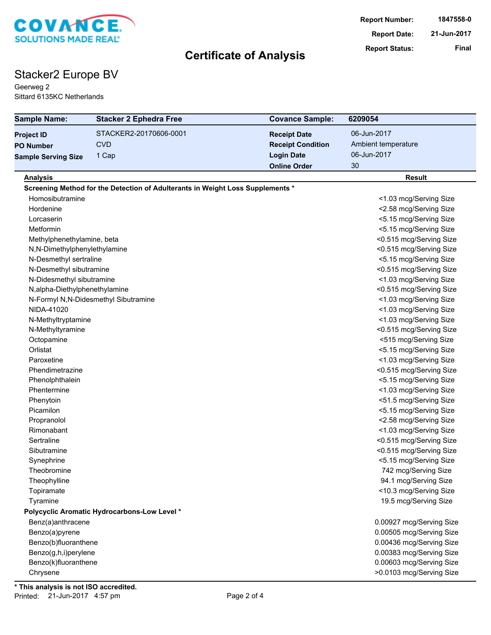

# Stacker2 Europe BV

Geerweg 2 Sittard 6135KC Netherlands

| <b>Sample Name:</b>            | <b>Stacker 2 Ephedra Free</b>                                                  | <b>Covance Sample:</b>   | 6209054                  |
|--------------------------------|--------------------------------------------------------------------------------|--------------------------|--------------------------|
| <b>Project ID</b>              | STACKER2-20170606-0001                                                         | <b>Receipt Date</b>      | 06-Jun-2017              |
| <b>PO Number</b>               | <b>CVD</b>                                                                     | <b>Receipt Condition</b> | Ambient temperature      |
| <b>Sample Serving Size</b>     | 1 Cap                                                                          | <b>Login Date</b>        | 06-Jun-2017              |
|                                |                                                                                | <b>Online Order</b>      | 30                       |
| <b>Analysis</b>                |                                                                                |                          | <b>Result</b>            |
|                                | Screening Method for the Detection of Adulterants in Weight Loss Supplements * |                          |                          |
| Homosibutramine                |                                                                                |                          | <1.03 mcg/Serving Size   |
| Hordenine                      |                                                                                |                          | <2.58 mcg/Serving Size   |
| Lorcaserin                     |                                                                                |                          | <5.15 mcg/Serving Size   |
| Metformin                      |                                                                                |                          | <5.15 mcg/Serving Size   |
| Methylphenethylamine, beta     |                                                                                |                          | <0.515 mcg/Serving Size  |
| N,N-Dimethylphenylethylamine   |                                                                                |                          | <0.515 mcg/Serving Size  |
| N-Desmethyl sertraline         |                                                                                |                          | <5.15 mcg/Serving Size   |
| N-Desmethyl sibutramine        |                                                                                |                          | <0.515 mcg/Serving Size  |
| N-Didesmethyl sibutramine      |                                                                                |                          | <1.03 mcg/Serving Size   |
| N, alpha-Diethylphenethylamine |                                                                                |                          | <0.515 mcg/Serving Size  |
|                                | N-Formyl N,N-Didesmethyl Sibutramine                                           |                          | <1.03 mcg/Serving Size   |
| NIDA-41020                     |                                                                                |                          | <1.03 mcg/Serving Size   |
| N-Methyltryptamine             |                                                                                |                          | <1.03 mcg/Serving Size   |
| N-Methyltyramine               |                                                                                |                          | <0.515 mcg/Serving Size  |
| Octopamine                     |                                                                                |                          | <515 mcg/Serving Size    |
| Orlistat                       |                                                                                |                          | <5.15 mcg/Serving Size   |
| Paroxetine                     |                                                                                |                          | <1.03 mcg/Serving Size   |
| Phendimetrazine                |                                                                                |                          | <0.515 mcg/Serving Size  |
| Phenolphthalein                |                                                                                |                          | <5.15 mcg/Serving Size   |
| Phentermine                    |                                                                                |                          | <1.03 mcg/Serving Size   |
| Phenytoin                      |                                                                                |                          | <51.5 mcg/Serving Size   |
| Picamilon                      |                                                                                |                          | <5.15 mcg/Serving Size   |
| Propranolol                    |                                                                                |                          | <2.58 mcg/Serving Size   |
| Rimonabant                     |                                                                                |                          | <1.03 mcg/Serving Size   |
| Sertraline                     |                                                                                |                          | <0.515 mcg/Serving Size  |
| Sibutramine                    |                                                                                |                          | <0.515 mcg/Serving Size  |
| Synephrine                     |                                                                                |                          | <5.15 mcg/Serving Size   |
| Theobromine                    |                                                                                |                          | 742 mcg/Serving Size     |
| Theophylline                   |                                                                                |                          | 94.1 mcg/Serving Size    |
| Topiramate                     |                                                                                |                          | <10.3 mcg/Serving Size   |
| Tyramine                       |                                                                                |                          | 19.5 mcg/Serving Size    |
|                                | Polycyclic Aromatic Hydrocarbons-Low Level *                                   |                          |                          |
| Benz(a)anthracene              |                                                                                |                          | 0.00927 mcg/Serving Size |
| Benzo(a)pyrene                 |                                                                                |                          | 0.00505 mcg/Serving Size |
| Benzo(b)fluoranthene           |                                                                                |                          | 0.00436 mcg/Serving Size |
| Benzo(g,h,i)perylene           |                                                                                |                          | 0.00383 mcg/Serving Size |
| Benzo(k)fluoranthene           |                                                                                |                          | 0.00603 mcg/Serving Size |
| Chrysene                       |                                                                                |                          | >0.0103 mcg/Serving Size |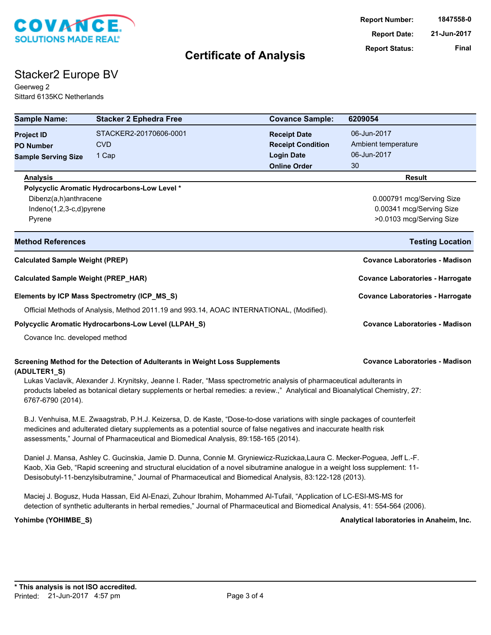

# Stacker2 Europe BV

Geerweg 2 Sittard 6135KC Netherlands

| <b>Sample Name:</b>                                                                          | <b>Stacker 2 Ephedra Free</b>                                                                                                                                                                                                                                                                                                                                     | <b>Covance Sample:</b>                          | 6209054                                  |
|----------------------------------------------------------------------------------------------|-------------------------------------------------------------------------------------------------------------------------------------------------------------------------------------------------------------------------------------------------------------------------------------------------------------------------------------------------------------------|-------------------------------------------------|------------------------------------------|
| <b>Project ID</b>                                                                            | STACKER2-20170606-0001<br><b>CVD</b>                                                                                                                                                                                                                                                                                                                              | <b>Receipt Date</b><br><b>Receipt Condition</b> | 06-Jun-2017<br>Ambient temperature       |
| <b>PO Number</b><br><b>Sample Serving Size</b>                                               | 1 Cap                                                                                                                                                                                                                                                                                                                                                             | <b>Login Date</b>                               | 06-Jun-2017                              |
|                                                                                              |                                                                                                                                                                                                                                                                                                                                                                   | <b>Online Order</b>                             | 30                                       |
| <b>Analysis</b>                                                                              |                                                                                                                                                                                                                                                                                                                                                                   |                                                 | <b>Result</b>                            |
|                                                                                              | Polycyclic Aromatic Hydrocarbons-Low Level *                                                                                                                                                                                                                                                                                                                      |                                                 |                                          |
| Dibenz(a,h)anthracene                                                                        |                                                                                                                                                                                                                                                                                                                                                                   |                                                 | 0.000791 mcg/Serving Size                |
| Indeno(1,2,3-c,d)pyrene                                                                      |                                                                                                                                                                                                                                                                                                                                                                   |                                                 | 0.00341 mcg/Serving Size                 |
| Pyrene                                                                                       |                                                                                                                                                                                                                                                                                                                                                                   |                                                 | >0.0103 mcg/Serving Size                 |
| <b>Method References</b>                                                                     |                                                                                                                                                                                                                                                                                                                                                                   |                                                 | <b>Testing Location</b>                  |
| <b>Calculated Sample Weight (PREP)</b>                                                       |                                                                                                                                                                                                                                                                                                                                                                   |                                                 | <b>Covance Laboratories - Madison</b>    |
| <b>Calculated Sample Weight (PREP_HAR)</b>                                                   |                                                                                                                                                                                                                                                                                                                                                                   |                                                 | <b>Covance Laboratories - Harrogate</b>  |
| Elements by ICP Mass Spectrometry (ICP_MS_S)                                                 |                                                                                                                                                                                                                                                                                                                                                                   |                                                 | <b>Covance Laboratories - Harrogate</b>  |
|                                                                                              | Official Methods of Analysis, Method 2011.19 and 993.14, AOAC INTERNATIONAL, (Modified).                                                                                                                                                                                                                                                                          |                                                 |                                          |
| Polycyclic Aromatic Hydrocarbons-Low Level (LLPAH_S)                                         |                                                                                                                                                                                                                                                                                                                                                                   |                                                 | <b>Covance Laboratories - Madison</b>    |
| Covance Inc. developed method                                                                |                                                                                                                                                                                                                                                                                                                                                                   |                                                 |                                          |
| Screening Method for the Detection of Adulterants in Weight Loss Supplements<br>(ADULTER1_S) |                                                                                                                                                                                                                                                                                                                                                                   |                                                 | <b>Covance Laboratories - Madison</b>    |
| 6767-6790 (2014).                                                                            | Lukas Vaclavik, Alexander J. Krynitsky, Jeanne I. Rader, "Mass spectrometric analysis of pharmaceutical adulterants in<br>products labeled as botanical dietary supplements or herbal remedies: a review.," Analytical and Bioanalytical Chemistry, 27:                                                                                                           |                                                 |                                          |
|                                                                                              | B.J. Venhuisa, M.E. Zwaagstrab, P.H.J. Keizersa, D. de Kaste, "Dose-to-dose variations with single packages of counterfeit<br>medicines and adulterated dietary supplements as a potential source of false negatives and inaccurate health risk<br>assessments," Journal of Pharmaceutical and Biomedical Analysis, 89:158-165 (2014).                            |                                                 |                                          |
|                                                                                              | Daniel J. Mansa, Ashley C. Gucinskia, Jamie D. Dunna, Connie M. Gryniewicz-Ruzickaa,Laura C. Mecker-Poguea, Jeff L.-F.<br>Kaob, Xia Geb, "Rapid screening and structural elucidation of a novel sibutramine analogue in a weight loss supplement: 11-<br>Desisobutyl-11-benzylsibutramine," Journal of Pharmaceutical and Biomedical Analysis, 83:122-128 (2013). |                                                 |                                          |
|                                                                                              | Maciej J. Bogusz, Huda Hassan, Eid Al-Enazi, Zuhour Ibrahim, Mohammed Al-Tufail, "Application of LC-ESI-MS-MS for<br>detection of synthetic adulterants in herbal remedies," Journal of Pharmaceutical and Biomedical Analysis, 41: 554-564 (2006).                                                                                                               |                                                 |                                          |
| Yohimbe (YOHIMBE_S)                                                                          |                                                                                                                                                                                                                                                                                                                                                                   |                                                 | Analytical laboratories in Anaheim, Inc. |